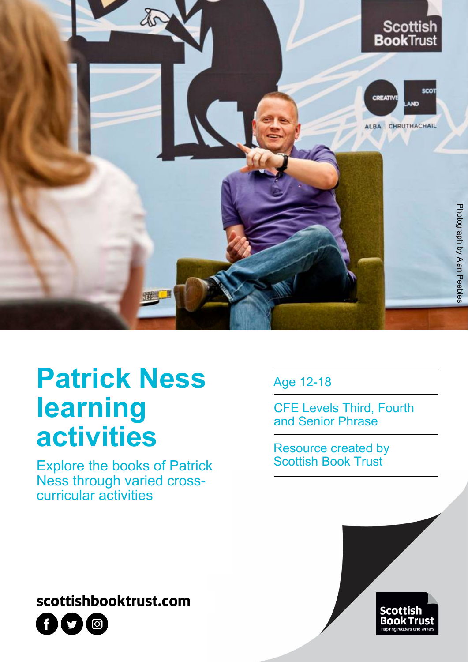

# **Patrick Ness learning activities**

Explore the books of Patrick Ness through varied crosscurricular activities

Age 12-18

CFE Levels Third, Fourth and Senior Phrase

Resource created by Scottish Book Trust



**scottishbooktrust.com**

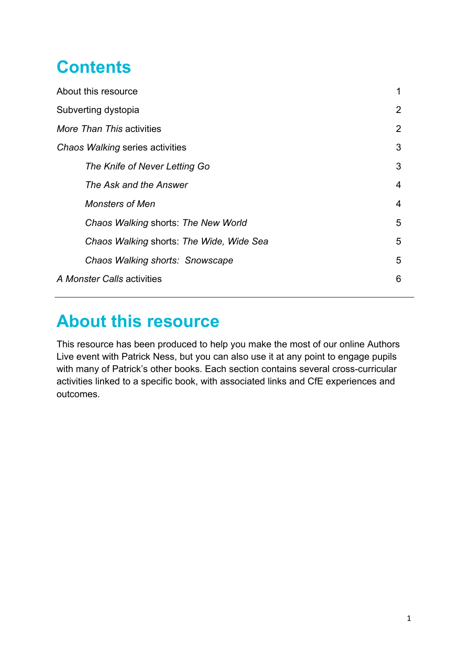# **Contents**

| About this resource                      |   |
|------------------------------------------|---|
| Subverting dystopia                      | 2 |
| More Than This activities                | 2 |
| Chaos Walking series activities          | 3 |
| The Knife of Never Letting Go            | 3 |
| The Ask and the Answer                   | 4 |
| <b>Monsters of Men</b>                   | 4 |
| Chaos Walking shorts: The New World      | 5 |
| Chaos Walking shorts: The Wide, Wide Sea | 5 |
| Chaos Walking shorts: Snowscape          | 5 |
| A Monster Calls activities               | 6 |
|                                          |   |

## **About this resource**

This resource has been produced to help you make the most of our online Authors Live event with Patrick Ness, but you can also use it at any point to engage pupils with many of Patrick's other books. Each section contains several cross-curricular activities linked to a specific book, with associated links and CfE experiences and outcomes.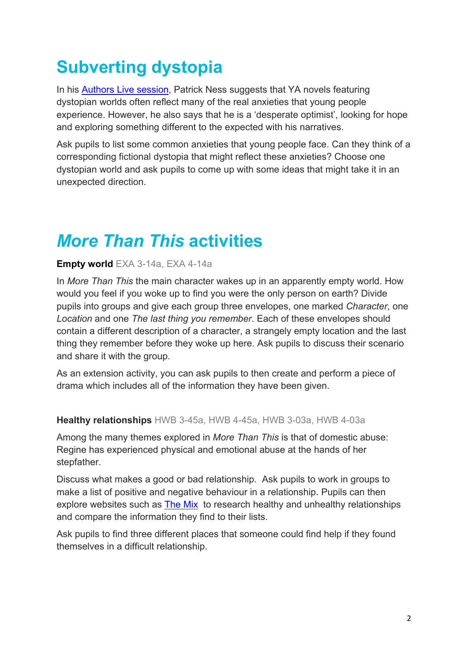# **Subverting dystopia**

In his [Authors Live session,](https://www.scottishbooktrust.com/authors-live-on-demand/patrick-ness) Patrick Ness suggests that YA novels featuring dystopian worlds often reflect many of the real anxieties that young people experience. However, he also says that he is a 'desperate optimist', looking for hope and exploring something different to the expected with his narratives.

Ask pupils to list some common anxieties that young people face. Can they think of a corresponding fictional dystopia that might reflect these anxieties? Choose one dystopian world and ask pupils to come up with some ideas that might take it in an unexpected direction.

## *More Than This* **activities**

#### **Empty world** EXA 3-14a, EXA 4-14a

In *More Than This* the main character wakes up in an apparently empty world. How would you feel if you woke up to find you were the only person on earth? Divide pupils into groups and give each group three envelopes, one marked *Character*, one *Location* and one *The last thing you remember*. Each of these envelopes should contain a different description of a character, a strangely empty location and the last thing they remember before they woke up here. Ask pupils to discuss their scenario and share it with the group.

As an extension activity, you can ask pupils to then create and perform a piece of drama which includes all of the information they have been given.

#### **Healthy relationships** HWB 3-45a, HWB 4-45a, HWB 3-03a, HWB 4-03a

Among the many themes explored in *More Than This* is that of domestic abuse: Regine has experienced physical and emotional abuse at the hands of her stepfather.

Discuss what makes a good or bad relationship. Ask pupils to work in groups to make a list of positive and negative behaviour in a relationship. Pupils can then explore websites such as [The Mix](https://www.themix.org.uk/sex-and-relationships/relationships/how-can-you-tell-if-youre-in-an-abusive-relationship-28203.html) to research healthy and unhealthy relationships and compare the information they find to their lists.

Ask pupils to find three different places that someone could find help if they found themselves in a difficult relationship.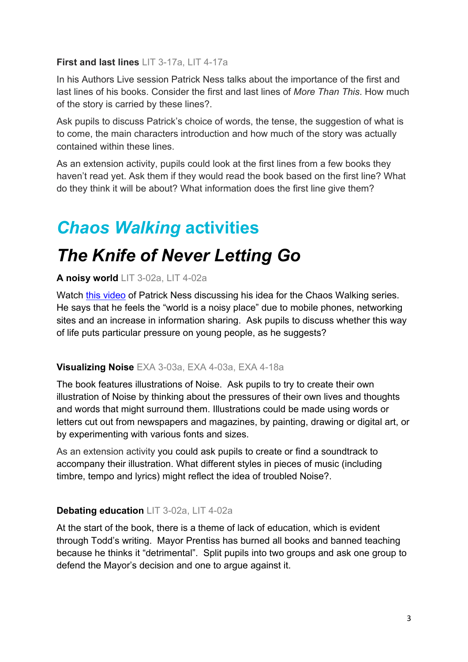#### **First and last lines** LIT 3-17a, LIT 4-17a

In his Authors Live session Patrick Ness talks about the importance of the first and last lines of his books. Consider the first and last lines of *More Than This*. How much of the story is carried by these lines?.

Ask pupils to discuss Patrick's choice of words, the tense, the suggestion of what is to come, the main characters introduction and how much of the story was actually contained within these lines.

As an extension activity, pupils could look at the first lines from a few books they haven't read yet. Ask them if they would read the book based on the first line? What do they think it will be about? What information does the first line give them?

# *Chaos Walking* **activities**

# *The Knife of Never Letting Go*

#### **A noisy world** LIT 3-02a, LIT 4-02a

Watch this [video](https://www.youtube.com/watch?v=T13GEgxjV5E) of Patrick Ness discussing his idea for the Chaos Walking series. He says that he feels the "world is a noisy place" due to mobile phones, networking sites and an increase in information sharing. Ask pupils to discuss whether this way of life puts particular pressure on young people, as he suggests?

#### **Visualizing Noise** EXA 3-03a, EXA 4-03a, EXA 4-18a

The book features illustrations of Noise. Ask pupils to try to create their own illustration of Noise by thinking about the pressures of their own lives and thoughts and words that might surround them. Illustrations could be made using words or letters cut out from newspapers and magazines, by painting, drawing or digital art, or by experimenting with various fonts and sizes.

As an extension activity you could ask pupils to create or find a soundtrack to accompany their illustration. What different styles in pieces of music (including timbre, tempo and lyrics) might reflect the idea of troubled Noise?.

#### **Debating education** LIT 3-02a, LIT 4-02a

At the start of the book, there is a theme of lack of education, which is evident through Todd's writing. Mayor Prentiss has burned all books and banned teaching because he thinks it "detrimental". Split pupils into two groups and ask one group to defend the Mayor's decision and one to argue against it.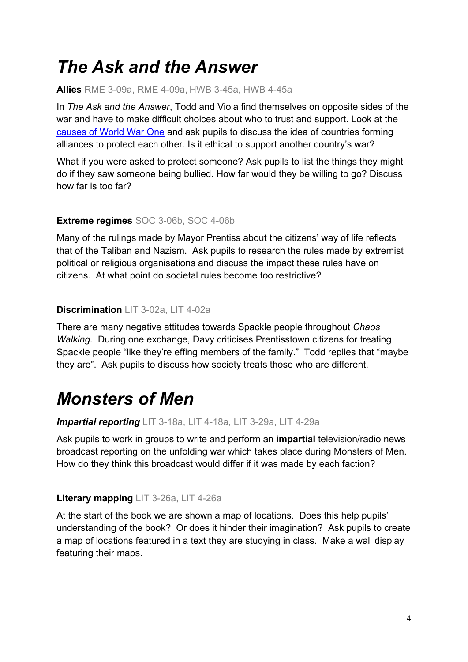# *The Ask and the Answer*

#### **Allies** RME 3-09a, RME 4-09a, HWB 3-45a, HWB 4-45a

In *The Ask and the Answer*, Todd and Viola find themselves on opposite sides of the war and have to make difficult choices about who to trust and support. Look at the [causes of World War One](https://www.bbc.co.uk/bitesize/topics/zqhyb9q/articles/znhhrj6) and ask pupils to discuss the idea of countries forming alliances to protect each other. Is it ethical to support another country's war?

What if you were asked to protect someone? Ask pupils to list the things they might do if they saw someone being bullied. How far would they be willing to go? Discuss how far is too far?

#### **Extreme regimes** SOC 3-06b, SOC 4-06b

Many of the rulings made by Mayor Prentiss about the citizens' way of life reflects that of the Taliban and Nazism. Ask pupils to research the rules made by extremist political or religious organisations and discuss the impact these rules have on citizens. At what point do societal rules become too restrictive?

#### **Discrimination** LIT 3-02a, LIT 4-02a

There are many negative attitudes towards Spackle people throughout *Chaos Walking.* During one exchange, Davy criticises Prentisstown citizens for treating Spackle people "like they're effing members of the family." Todd replies that "maybe they are". Ask pupils to discuss how society treats those who are different.

## *Monsters of Men*

#### *Impartial reporting* LIT 3-18a, LIT 4-18a, LIT 3-29a, LIT 4-29a

Ask pupils to work in groups to write and perform an **impartial** television/radio news broadcast reporting on the unfolding war which takes place during Monsters of Men. How do they think this broadcast would differ if it was made by each faction?

#### **Literary mapping** LIT 3-26a, LIT 4-26a

At the start of the book we are shown a map of locations. Does this help pupils' understanding of the book? Or does it hinder their imagination? Ask pupils to create a map of locations featured in a text they are studying in class. Make a wall display featuring their maps.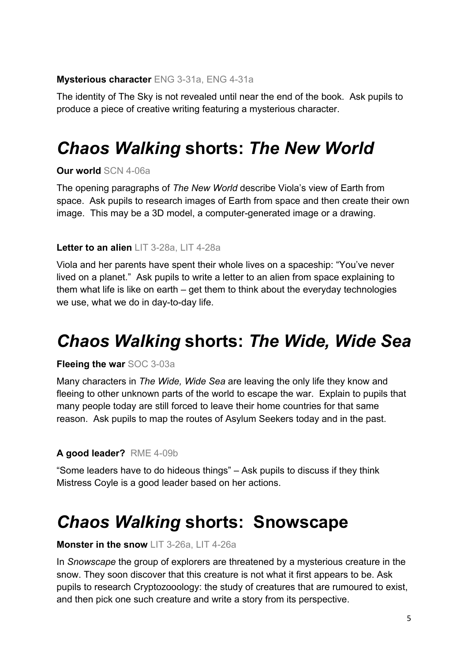#### **Mysterious character** ENG 3-31a, ENG 4-31a

The identity of The Sky is not revealed until near the end of the book. Ask pupils to produce a piece of creative writing featuring a mysterious character.

# *Chaos Walking* **shorts:** *The New World*

#### **Our world** SCN 4-06a

The opening paragraphs of *The New World* describe Viola's view of Earth from space. Ask pupils to research images of Earth from space and then create their own image. This may be a 3D model, a computer-generated image or a drawing.

#### **Letter to an alien** LIT 3-28a, LIT 4-28a

Viola and her parents have spent their whole lives on a spaceship: "You've never lived on a planet." Ask pupils to write a letter to an alien from space explaining to them what life is like on earth – get them to think about the everyday technologies we use, what we do in day-to-day life.

## *Chaos Walking* **shorts:** *The Wide, Wide Sea*

#### **Fleeing the war** SOC 3-03a

Many characters in *The Wide, Wide Sea* are leaving the only life they know and fleeing to other unknown parts of the world to escape the war. Explain to pupils that many people today are still forced to leave their home countries for that same reason. Ask pupils to map the routes of Asylum Seekers today and in the past.

#### **A good leader?** RME 4-09b

"Some leaders have to do hideous things" – Ask pupils to discuss if they think Mistress Coyle is a good leader based on her actions.

# *Chaos Walking* **shorts: Snowscape**

#### **Monster in the snow** LIT 3-26a, LIT 4-26a

In *Snowscape* the group of explorers are threatened by a mysterious creature in the snow. They soon discover that this creature is not what it first appears to be. Ask pupils to research Cryptozooology: the study of creatures that are rumoured to exist, and then pick one such creature and write a story from its perspective.